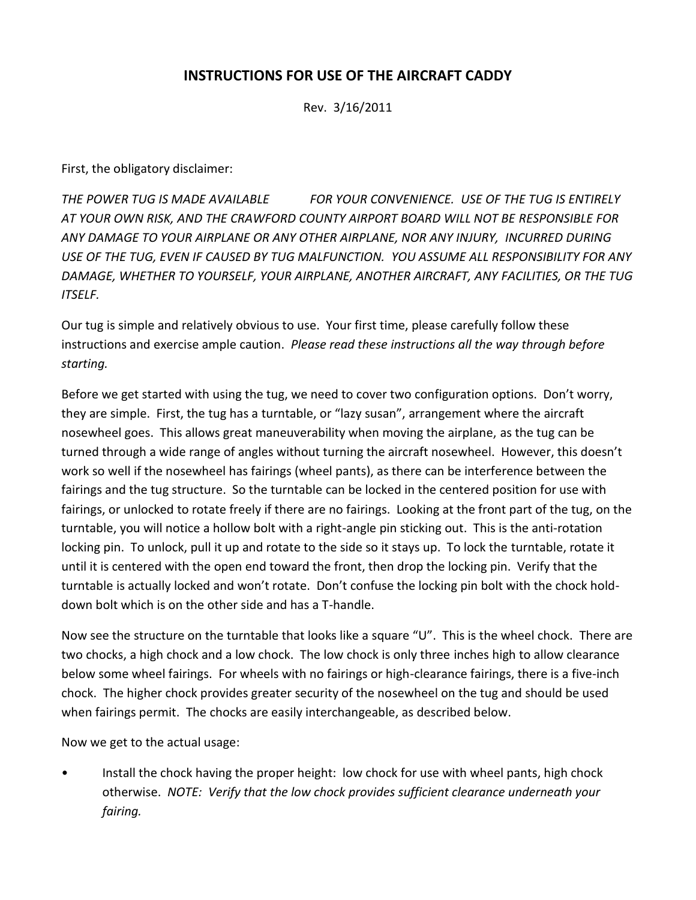## **INSTRUCTIONS FOR USE OF THE AIRCRAFT CADDY**

Rev. 3/16/2011

First, the obligatory disclaimer:

*THE POWER TUG IS MADE AVAILABLE FOR YOUR CONVENIENCE. USE OF THE TUG IS ENTIRELY AT YOUR OWN RISK, AND THE CRAWFORD COUNTY AIRPORT BOARD WILL NOT BE RESPONSIBLE FOR ANY DAMAGE TO YOUR AIRPLANE OR ANY OTHER AIRPLANE, NOR ANY INJURY, INCURRED DURING USE OF THE TUG, EVEN IF CAUSED BY TUG MALFUNCTION. YOU ASSUME ALL RESPONSIBILITY FOR ANY DAMAGE, WHETHER TO YOURSELF, YOUR AIRPLANE, ANOTHER AIRCRAFT, ANY FACILITIES, OR THE TUG ITSELF.*

Our tug is simple and relatively obvious to use. Your first time, please carefully follow these instructions and exercise ample caution. *Please read these instructions all the way through before starting.*

Before we get started with using the tug, we need to cover two configuration options. Don't worry, they are simple. First, the tug has a turntable, or "lazy susan", arrangement where the aircraft nosewheel goes. This allows great maneuverability when moving the airplane, as the tug can be turned through a wide range of angles without turning the aircraft nosewheel. However, this doesn't work so well if the nosewheel has fairings (wheel pants), as there can be interference between the fairings and the tug structure. So the turntable can be locked in the centered position for use with fairings, or unlocked to rotate freely if there are no fairings. Looking at the front part of the tug, on the turntable, you will notice a hollow bolt with a right-angle pin sticking out. This is the anti-rotation locking pin. To unlock, pull it up and rotate to the side so it stays up. To lock the turntable, rotate it until it is centered with the open end toward the front, then drop the locking pin. Verify that the turntable is actually locked and won't rotate. Don't confuse the locking pin bolt with the chock holddown bolt which is on the other side and has a T-handle.

Now see the structure on the turntable that looks like a square "U". This is the wheel chock. There are two chocks, a high chock and a low chock. The low chock is only three inches high to allow clearance below some wheel fairings. For wheels with no fairings or high-clearance fairings, there is a five-inch chock. The higher chock provides greater security of the nosewheel on the tug and should be used when fairings permit. The chocks are easily interchangeable, as described below.

Now we get to the actual usage:

• Install the chock having the proper height: low chock for use with wheel pants, high chock otherwise. *NOTE: Verify that the low chock provides sufficient clearance underneath your fairing.*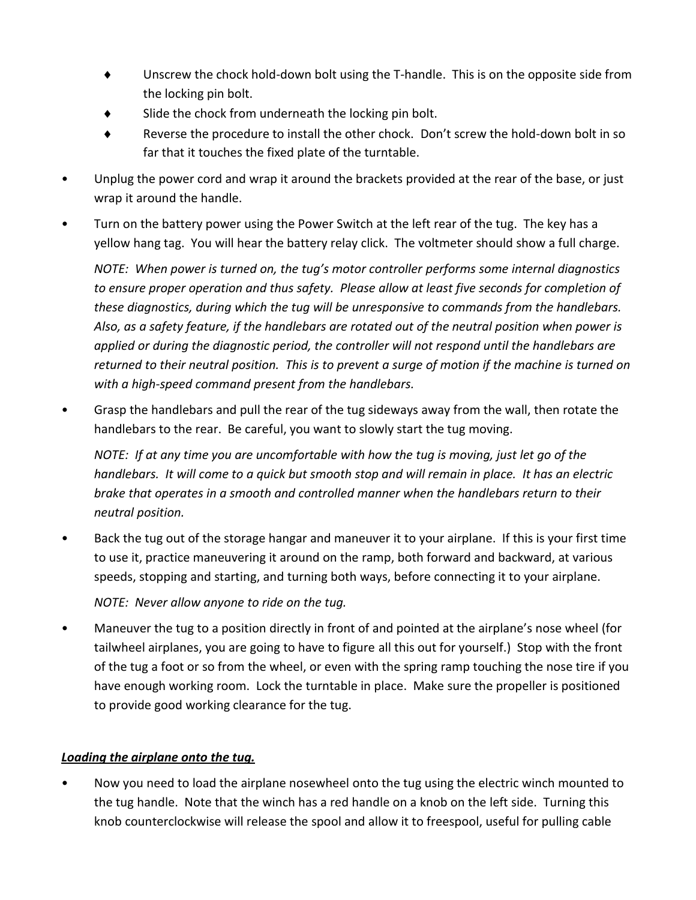- Unscrew the chock hold-down bolt using the T-handle. This is on the opposite side from the locking pin bolt.
- $\bullet$  Slide the chock from underneath the locking pin bolt.
- Reverse the procedure to install the other chock. Don't screw the hold-down bolt in so far that it touches the fixed plate of the turntable.
- Unplug the power cord and wrap it around the brackets provided at the rear of the base, or just wrap it around the handle.
- Turn on the battery power using the Power Switch at the left rear of the tug. The key has a yellow hang tag. You will hear the battery relay click. The voltmeter should show a full charge.

*NOTE: When power is turned on, the tug's motor controller performs some internal diagnostics to ensure proper operation and thus safety. Please allow at least five seconds for completion of these diagnostics, during which the tug will be unresponsive to commands from the handlebars. Also, as a safety feature, if the handlebars are rotated out of the neutral position when power is applied or during the diagnostic period, the controller will not respond until the handlebars are returned to their neutral position. This is to prevent a surge of motion if the machine is turned on with a high-speed command present from the handlebars.*

• Grasp the handlebars and pull the rear of the tug sideways away from the wall, then rotate the handlebars to the rear. Be careful, you want to slowly start the tug moving.

*NOTE: If at any time you are uncomfortable with how the tug is moving, just let go of the handlebars. It will come to a quick but smooth stop and will remain in place. It has an electric brake that operates in a smooth and controlled manner when the handlebars return to their neutral position.*

• Back the tug out of the storage hangar and maneuver it to your airplane. If this is your first time to use it, practice maneuvering it around on the ramp, both forward and backward, at various speeds, stopping and starting, and turning both ways, before connecting it to your airplane.

*NOTE: Never allow anyone to ride on the tug.*

• Maneuver the tug to a position directly in front of and pointed at the airplane's nose wheel (for tailwheel airplanes, you are going to have to figure all this out for yourself.) Stop with the front of the tug a foot or so from the wheel, or even with the spring ramp touching the nose tire if you have enough working room. Lock the turntable in place. Make sure the propeller is positioned to provide good working clearance for the tug.

## *Loading the airplane onto the tug.*

• Now you need to load the airplane nosewheel onto the tug using the electric winch mounted to the tug handle. Note that the winch has a red handle on a knob on the left side. Turning this knob counterclockwise will release the spool and allow it to freespool, useful for pulling cable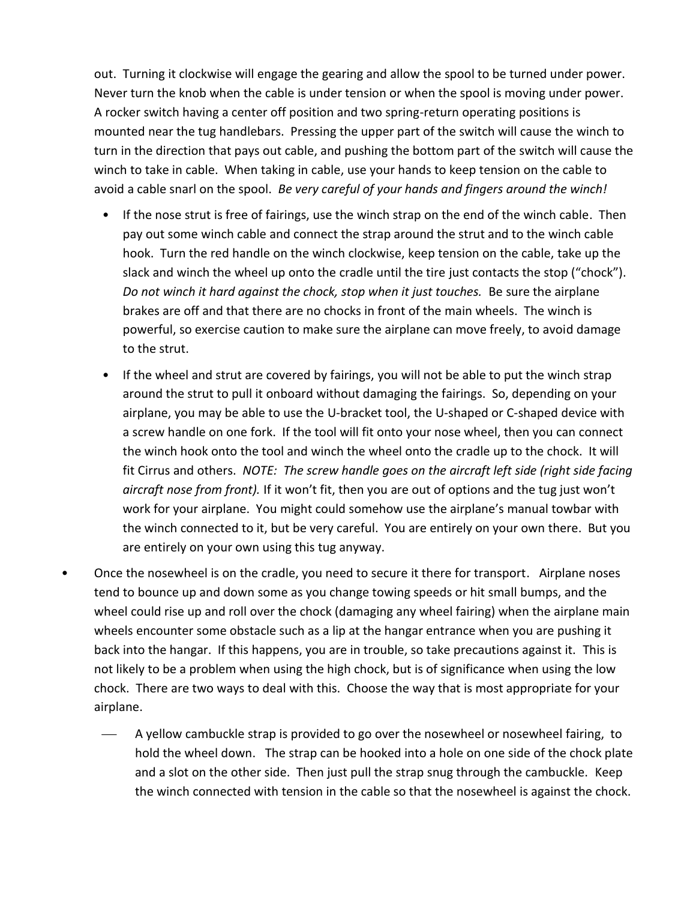out. Turning it clockwise will engage the gearing and allow the spool to be turned under power. Never turn the knob when the cable is under tension or when the spool is moving under power. A rocker switch having a center off position and two spring-return operating positions is mounted near the tug handlebars. Pressing the upper part of the switch will cause the winch to turn in the direction that pays out cable, and pushing the bottom part of the switch will cause the winch to take in cable. When taking in cable, use your hands to keep tension on the cable to avoid a cable snarl on the spool. *Be very careful of your hands and fingers around the winch!* 

- If the nose strut is free of fairings, use the winch strap on the end of the winch cable. Then pay out some winch cable and connect the strap around the strut and to the winch cable hook. Turn the red handle on the winch clockwise, keep tension on the cable, take up the slack and winch the wheel up onto the cradle until the tire just contacts the stop ("chock"). *Do not winch it hard against the chock, stop when it just touches.* Be sure the airplane brakes are off and that there are no chocks in front of the main wheels. The winch is powerful, so exercise caution to make sure the airplane can move freely, to avoid damage to the strut.
- If the wheel and strut are covered by fairings, you will not be able to put the winch strap around the strut to pull it onboard without damaging the fairings. So, depending on your airplane, you may be able to use the U-bracket tool, the U-shaped or C-shaped device with a screw handle on one fork. If the tool will fit onto your nose wheel, then you can connect the winch hook onto the tool and winch the wheel onto the cradle up to the chock. It will fit Cirrus and others. *NOTE: The screw handle goes on the aircraft left side (right side facing aircraft nose from front).* If it won't fit, then you are out of options and the tug just won't work for your airplane. You might could somehow use the airplane's manual towbar with the winch connected to it, but be very careful. You are entirely on your own there. But you are entirely on your own using this tug anyway.
- Once the nosewheel is on the cradle, you need to secure it there for transport. Airplane noses tend to bounce up and down some as you change towing speeds or hit small bumps, and the wheel could rise up and roll over the chock (damaging any wheel fairing) when the airplane main wheels encounter some obstacle such as a lip at the hangar entrance when you are pushing it back into the hangar. If this happens, you are in trouble, so take precautions against it. This is not likely to be a problem when using the high chock, but is of significance when using the low chock. There are two ways to deal with this. Choose the way that is most appropriate for your airplane.
	- A yellow cambuckle strap is provided to go over the nosewheel or nosewheel fairing, to hold the wheel down. The strap can be hooked into a hole on one side of the chock plate and a slot on the other side. Then just pull the strap snug through the cambuckle. Keep the winch connected with tension in the cable so that the nosewheel is against the chock.